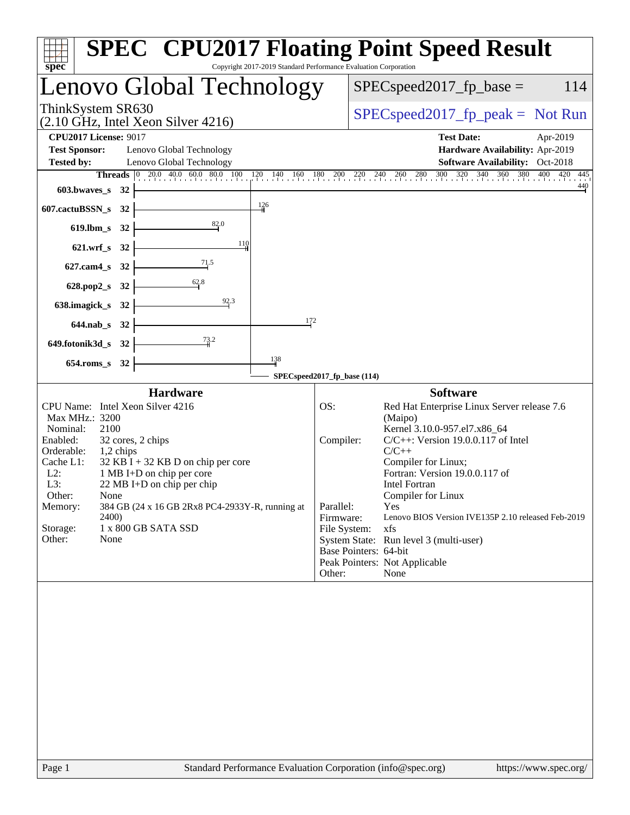| <b>SPEC<sup>®</sup> CPU2017 Floating Point Speed Result</b><br>$s\overline{p}e\overline{c}$<br>Copyright 2017-2019 Standard Performance Evaluation Corporation                                                                                                                                                                                                                                                              |                                                                                                                                                                                                                                                                                                                                                                                                                                                                                                    |  |  |  |  |  |
|-----------------------------------------------------------------------------------------------------------------------------------------------------------------------------------------------------------------------------------------------------------------------------------------------------------------------------------------------------------------------------------------------------------------------------|----------------------------------------------------------------------------------------------------------------------------------------------------------------------------------------------------------------------------------------------------------------------------------------------------------------------------------------------------------------------------------------------------------------------------------------------------------------------------------------------------|--|--|--|--|--|
| Lenovo Global Technology                                                                                                                                                                                                                                                                                                                                                                                                    | $SPEC speed2017_fp\_base =$<br>114                                                                                                                                                                                                                                                                                                                                                                                                                                                                 |  |  |  |  |  |
| ThinkSystem SR630<br>$(2.10 \text{ GHz}, \text{Intel Xeon Silver } 4216)$                                                                                                                                                                                                                                                                                                                                                   | $SPEC speed2017rfp peak = Not Run$                                                                                                                                                                                                                                                                                                                                                                                                                                                                 |  |  |  |  |  |
| <b>CPU2017 License: 9017</b><br><b>Test Sponsor:</b><br>Lenovo Global Technology<br><b>Tested by:</b><br>Lenovo Global Technology                                                                                                                                                                                                                                                                                           | <b>Test Date:</b><br>Apr-2019<br>Hardware Availability: Apr-2019<br>Software Availability: Oct-2018<br>Threads 0 20.0 40.0 60.0 80.0 100 120 140 160 180 200 220 240 260 280 300 320 340 360 380 400 420<br>445                                                                                                                                                                                                                                                                                    |  |  |  |  |  |
| 603.bwaves_s $32$<br>$\frac{126}{ }$<br>$607$ .cactuBSSN_s 32                                                                                                                                                                                                                                                                                                                                                               | $\frac{440}{4}$                                                                                                                                                                                                                                                                                                                                                                                                                                                                                    |  |  |  |  |  |
| 619.lbm_s 32 $\vert$<br>110<br>$621.wrf_s$ 32 -<br>$627$ .cam4_s 32 $\leftarrow$                                                                                                                                                                                                                                                                                                                                            |                                                                                                                                                                                                                                                                                                                                                                                                                                                                                                    |  |  |  |  |  |
| 628.pop2_s 32 $\begin{array}{ c c }\n & 32 & 32 \\ \hline\n & 62.8 & 32\n\end{array}$<br>92.3<br>638.imagick_s 32 $\vert$<br>172                                                                                                                                                                                                                                                                                            |                                                                                                                                                                                                                                                                                                                                                                                                                                                                                                    |  |  |  |  |  |
| $644$ .nab_s 32 $\vdash$<br>649.fotonik3d_s 32 $\frac{73.2}{4}$                                                                                                                                                                                                                                                                                                                                                             |                                                                                                                                                                                                                                                                                                                                                                                                                                                                                                    |  |  |  |  |  |
| 138<br>654.roms_s 32                                                                                                                                                                                                                                                                                                                                                                                                        | SPECspeed2017_fp_base (114)                                                                                                                                                                                                                                                                                                                                                                                                                                                                        |  |  |  |  |  |
| <b>Hardware</b>                                                                                                                                                                                                                                                                                                                                                                                                             | <b>Software</b>                                                                                                                                                                                                                                                                                                                                                                                                                                                                                    |  |  |  |  |  |
| CPU Name: Intel Xeon Silver 4216<br>Max MHz.: 3200<br>Nominal:<br>2100<br>Enabled:<br>32 cores, 2 chips<br>Orderable:<br>1,2 chips<br>Cache L1:<br>$32$ KB I + 32 KB D on chip per core<br>$L2$ :<br>1 MB I+D on chip per core<br>L3:<br>$22 \text{ MB I+D}$ on chip per chip<br>Other:<br>None<br>384 GB (24 x 16 GB 2Rx8 PC4-2933Y-R, running at<br>Memory:<br>2400)<br>Storage:<br>1 x 800 GB SATA SSD<br>Other:<br>None | OS:<br>Red Hat Enterprise Linux Server release 7.6<br>(Maipo)<br>Kernel 3.10.0-957.el7.x86_64<br>Compiler:<br>$C/C++$ : Version 19.0.0.117 of Intel<br>$C/C++$<br>Compiler for Linux;<br>Fortran: Version 19.0.0.117 of<br>Intel Fortran<br>Compiler for Linux<br>Parallel:<br>Yes<br>Firmware:<br>Lenovo BIOS Version IVE135P 2.10 released Feb-2019<br>File System:<br>xfs<br>System State: Run level 3 (multi-user)<br>Base Pointers: 64-bit<br>Peak Pointers: Not Applicable<br>Other:<br>None |  |  |  |  |  |
|                                                                                                                                                                                                                                                                                                                                                                                                                             |                                                                                                                                                                                                                                                                                                                                                                                                                                                                                                    |  |  |  |  |  |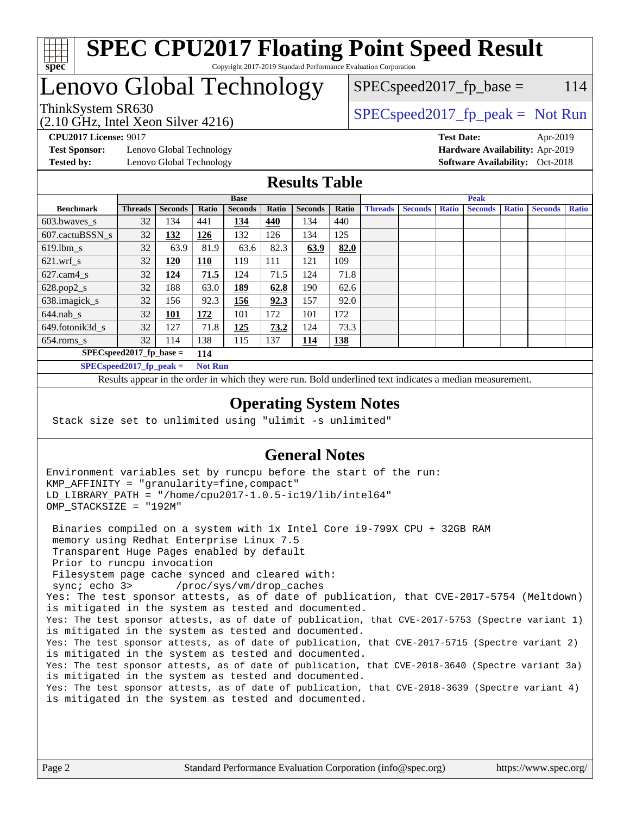

### **[SPEC CPU2017 Floating Point Speed Result](http://www.spec.org/auto/cpu2017/Docs/result-fields.html#SPECCPU2017FloatingPointSpeedResult)** Copyright 2017-2019 Standard Performance Evaluation Corporation

# Lenovo Global Technology

ThinkSystem SR630  $SPIz$ , Intel Year, Silver 4216)  $SPEC speed2017_fp\_base = 114$ 

(2.10 GHz, Intel Xeon Silver 4216)

**[Test Sponsor:](http://www.spec.org/auto/cpu2017/Docs/result-fields.html#TestSponsor)** Lenovo Global Technology **[Hardware Availability:](http://www.spec.org/auto/cpu2017/Docs/result-fields.html#HardwareAvailability)** Apr-2019 **[Tested by:](http://www.spec.org/auto/cpu2017/Docs/result-fields.html#Testedby)** Lenovo Global Technology **[Software Availability:](http://www.spec.org/auto/cpu2017/Docs/result-fields.html#SoftwareAvailability)** Oct-2018

**[CPU2017 License:](http://www.spec.org/auto/cpu2017/Docs/result-fields.html#CPU2017License)** 9017 **[Test Date:](http://www.spec.org/auto/cpu2017/Docs/result-fields.html#TestDate)** Apr-2019

### **[Results Table](http://www.spec.org/auto/cpu2017/Docs/result-fields.html#ResultsTable)**

|                                   | <b>Base</b>                |                |                |                | <b>Peak</b> |                |            |                |                |              |                |              |                |              |
|-----------------------------------|----------------------------|----------------|----------------|----------------|-------------|----------------|------------|----------------|----------------|--------------|----------------|--------------|----------------|--------------|
| <b>Benchmark</b>                  | <b>Threads</b>             | <b>Seconds</b> | Ratio          | <b>Seconds</b> | Ratio       | <b>Seconds</b> | Ratio      | <b>Threads</b> | <b>Seconds</b> | <b>Ratio</b> | <b>Seconds</b> | <b>Ratio</b> | <b>Seconds</b> | <b>Ratio</b> |
| 603.bwayes s                      | 32                         | 134            | 441            | 134            | 440         | 134            | 440        |                |                |              |                |              |                |              |
| 607.cactuBSSN s                   | 32                         | <u>132</u>     | 126            | 132            | 126         | 134            | 125        |                |                |              |                |              |                |              |
| $619.$ lbm_s                      | 32                         | 63.9           | 81.9           | 63.6           | 82.3        | 63.9           | 82.0       |                |                |              |                |              |                |              |
| $621.wrf$ s                       | 32                         | 120            | <u>110</u>     | 119            | 111         | 121            | 109        |                |                |              |                |              |                |              |
| $627$ .cam4 s                     | 32                         | 124            | 71.5           | 124            | 71.5        | 124            | 71.8       |                |                |              |                |              |                |              |
| $628.pop2_s$                      | 32                         | 188            | 63.0           | 189            | 62.8        | 190            | 62.6       |                |                |              |                |              |                |              |
| 638.imagick_s                     | 32                         | 156            | 92.3           | 156            | 92.3        | 157            | 92.0       |                |                |              |                |              |                |              |
| $644$ .nab s                      | 32                         | <u> 101</u>    | <u>172</u>     | 101            | 172         | 101            | 172        |                |                |              |                |              |                |              |
| 649.fotonik3d s                   | 32                         | 127            | 71.8           | 125            | 73.2        | 124            | 73.3       |                |                |              |                |              |                |              |
| $654$ .roms s                     | 32                         | 114            | 138            | 115            | 137         | 114            | <b>138</b> |                |                |              |                |              |                |              |
| $SPEC speed2017$ fp base =<br>114 |                            |                |                |                |             |                |            |                |                |              |                |              |                |              |
|                                   | SPECspeed 2017 fp peak $=$ |                | <b>Not Run</b> |                |             |                |            |                |                |              |                |              |                |              |

Results appear in the [order in which they were run.](http://www.spec.org/auto/cpu2017/Docs/result-fields.html#RunOrder) Bold underlined text [indicates a median measurement](http://www.spec.org/auto/cpu2017/Docs/result-fields.html#Median).

### **[Operating System Notes](http://www.spec.org/auto/cpu2017/Docs/result-fields.html#OperatingSystemNotes)**

Stack size set to unlimited using "ulimit -s unlimited"

### **[General Notes](http://www.spec.org/auto/cpu2017/Docs/result-fields.html#GeneralNotes)**

Environment variables set by runcpu before the start of the run: KMP\_AFFINITY = "granularity=fine,compact" LD\_LIBRARY\_PATH = "/home/cpu2017-1.0.5-ic19/lib/intel64" OMP\_STACKSIZE = "192M"

 Binaries compiled on a system with 1x Intel Core i9-799X CPU + 32GB RAM memory using Redhat Enterprise Linux 7.5 Transparent Huge Pages enabled by default Prior to runcpu invocation Filesystem page cache synced and cleared with: sync; echo 3> /proc/sys/vm/drop\_caches Yes: The test sponsor attests, as of date of publication, that CVE-2017-5754 (Meltdown) is mitigated in the system as tested and documented. Yes: The test sponsor attests, as of date of publication, that CVE-2017-5753 (Spectre variant 1) is mitigated in the system as tested and documented. Yes: The test sponsor attests, as of date of publication, that CVE-2017-5715 (Spectre variant 2) is mitigated in the system as tested and documented. Yes: The test sponsor attests, as of date of publication, that CVE-2018-3640 (Spectre variant 3a) is mitigated in the system as tested and documented. Yes: The test sponsor attests, as of date of publication, that CVE-2018-3639 (Spectre variant 4) is mitigated in the system as tested and documented.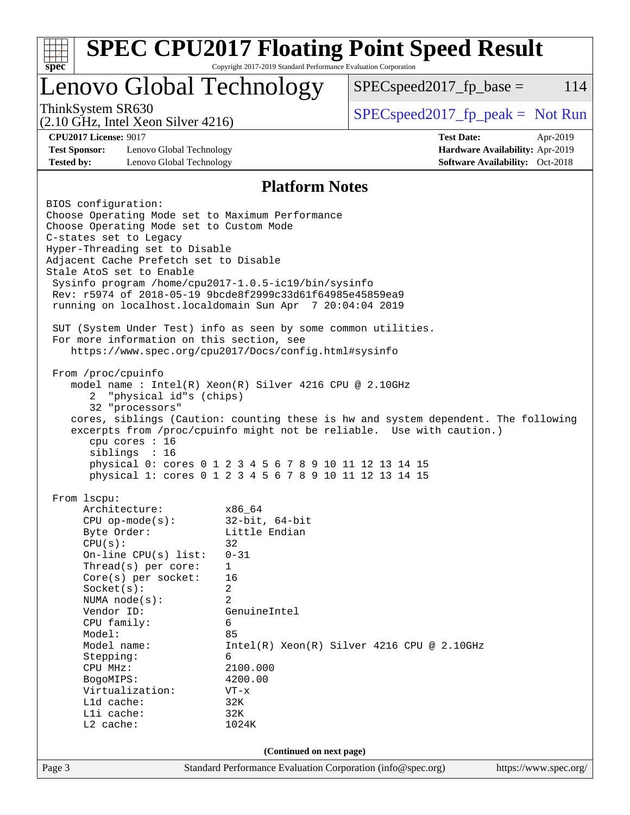| <b>SPEC CPU2017 Floating Point Speed Result</b><br>Copyright 2017-2019 Standard Performance Evaluation Corporation<br>spec <sup>®</sup> |                                                                                                                    |                                   |                                                                           |  |  |  |
|-----------------------------------------------------------------------------------------------------------------------------------------|--------------------------------------------------------------------------------------------------------------------|-----------------------------------|---------------------------------------------------------------------------|--|--|--|
| Lenovo Global Technology                                                                                                                |                                                                                                                    | $SPEC speed2017fp base =$         | 114                                                                       |  |  |  |
| ThinkSystem SR630<br>$(2.10 \text{ GHz}, \text{Intel Xeon Silver } 4216)$                                                               |                                                                                                                    | $SPEC speed2017fr peak = Not Run$ |                                                                           |  |  |  |
| <b>CPU2017 License: 9017</b>                                                                                                            |                                                                                                                    | <b>Test Date:</b>                 | Apr-2019                                                                  |  |  |  |
| <b>Test Sponsor:</b><br>Lenovo Global Technology<br><b>Tested by:</b><br>Lenovo Global Technology                                       |                                                                                                                    |                                   | Hardware Availability: Apr-2019<br><b>Software Availability:</b> Oct-2018 |  |  |  |
| <b>Platform Notes</b>                                                                                                                   |                                                                                                                    |                                   |                                                                           |  |  |  |
| BIOS configuration:                                                                                                                     |                                                                                                                    |                                   |                                                                           |  |  |  |
| Choose Operating Mode set to Maximum Performance                                                                                        |                                                                                                                    |                                   |                                                                           |  |  |  |
| Choose Operating Mode set to Custom Mode                                                                                                |                                                                                                                    |                                   |                                                                           |  |  |  |
| C-states set to Legacy<br>Hyper-Threading set to Disable                                                                                |                                                                                                                    |                                   |                                                                           |  |  |  |
| Adjacent Cache Prefetch set to Disable                                                                                                  |                                                                                                                    |                                   |                                                                           |  |  |  |
| Stale AtoS set to Enable                                                                                                                |                                                                                                                    |                                   |                                                                           |  |  |  |
| Sysinfo program /home/cpu2017-1.0.5-ic19/bin/sysinfo<br>Rev: r5974 of 2018-05-19 9bcde8f2999c33d61f64985e45859ea9                       |                                                                                                                    |                                   |                                                                           |  |  |  |
| running on localhost.localdomain Sun Apr 7 20:04:04 2019                                                                                |                                                                                                                    |                                   |                                                                           |  |  |  |
|                                                                                                                                         |                                                                                                                    |                                   |                                                                           |  |  |  |
| SUT (System Under Test) info as seen by some common utilities.                                                                          |                                                                                                                    |                                   |                                                                           |  |  |  |
|                                                                                                                                         | For more information on this section, see<br>https://www.spec.org/cpu2017/Docs/config.html#sysinfo                 |                                   |                                                                           |  |  |  |
| From /proc/cpuinfo                                                                                                                      |                                                                                                                    |                                   |                                                                           |  |  |  |
| model name : Intel(R) Xeon(R) Silver 4216 CPU @ 2.10GHz                                                                                 |                                                                                                                    |                                   |                                                                           |  |  |  |
| "physical id"s (chips)<br>2                                                                                                             |                                                                                                                    |                                   |                                                                           |  |  |  |
| 32 "processors"<br>cores, siblings (Caution: counting these is hw and system dependent. The following                                   |                                                                                                                    |                                   |                                                                           |  |  |  |
| excerpts from /proc/cpuinfo might not be reliable. Use with caution.)                                                                   |                                                                                                                    |                                   |                                                                           |  |  |  |
| cpu cores : 16                                                                                                                          |                                                                                                                    |                                   |                                                                           |  |  |  |
| siblings : 16                                                                                                                           |                                                                                                                    |                                   |                                                                           |  |  |  |
|                                                                                                                                         | physical 0: cores 0 1 2 3 4 5 6 7 8 9 10 11 12 13 14 15<br>physical 1: cores 0 1 2 3 4 5 6 7 8 9 10 11 12 13 14 15 |                                   |                                                                           |  |  |  |
|                                                                                                                                         |                                                                                                                    |                                   |                                                                           |  |  |  |
| From 1scpu:                                                                                                                             |                                                                                                                    |                                   |                                                                           |  |  |  |
| Architecture:<br>$CPU$ op-mode(s):                                                                                                      | x86_64<br>$32$ -bit, $64$ -bit                                                                                     |                                   |                                                                           |  |  |  |
| Byte Order:                                                                                                                             | Little Endian                                                                                                      |                                   |                                                                           |  |  |  |
| CPU(s):                                                                                                                                 | 32                                                                                                                 |                                   |                                                                           |  |  |  |
| On-line CPU(s) list:                                                                                                                    | $0 - 31$                                                                                                           |                                   |                                                                           |  |  |  |
| Thread( $s$ ) per core:                                                                                                                 | 1<br>16                                                                                                            |                                   |                                                                           |  |  |  |
| Core(s) per socket:<br>Socket(s):                                                                                                       | 2                                                                                                                  |                                   |                                                                           |  |  |  |
| NUMA $node(s)$ :                                                                                                                        | $\overline{2}$                                                                                                     |                                   |                                                                           |  |  |  |
| Vendor ID:                                                                                                                              | GenuineIntel                                                                                                       |                                   |                                                                           |  |  |  |
| CPU family:                                                                                                                             | 6                                                                                                                  |                                   |                                                                           |  |  |  |
| Model name:                                                                                                                             | Model:<br>85<br>$Intel(R) Xeon(R) Silver 4216 CPU @ 2.10GHz$                                                       |                                   |                                                                           |  |  |  |
| Stepping:                                                                                                                               | 6                                                                                                                  |                                   |                                                                           |  |  |  |
| CPU MHz:                                                                                                                                | 2100.000                                                                                                           |                                   |                                                                           |  |  |  |
| BogoMIPS:                                                                                                                               | 4200.00                                                                                                            |                                   |                                                                           |  |  |  |
| Virtualization:<br>L1d cache:                                                                                                           | $VT - x$<br>32K                                                                                                    |                                   |                                                                           |  |  |  |
| Lli cache:                                                                                                                              | 32K                                                                                                                |                                   |                                                                           |  |  |  |
| $L2$ cache:<br>1024K                                                                                                                    |                                                                                                                    |                                   |                                                                           |  |  |  |
| (Continued on next page)                                                                                                                |                                                                                                                    |                                   |                                                                           |  |  |  |
| Page 3                                                                                                                                  | Standard Performance Evaluation Corporation (info@spec.org)                                                        |                                   | https://www.spec.org/                                                     |  |  |  |
|                                                                                                                                         |                                                                                                                    |                                   |                                                                           |  |  |  |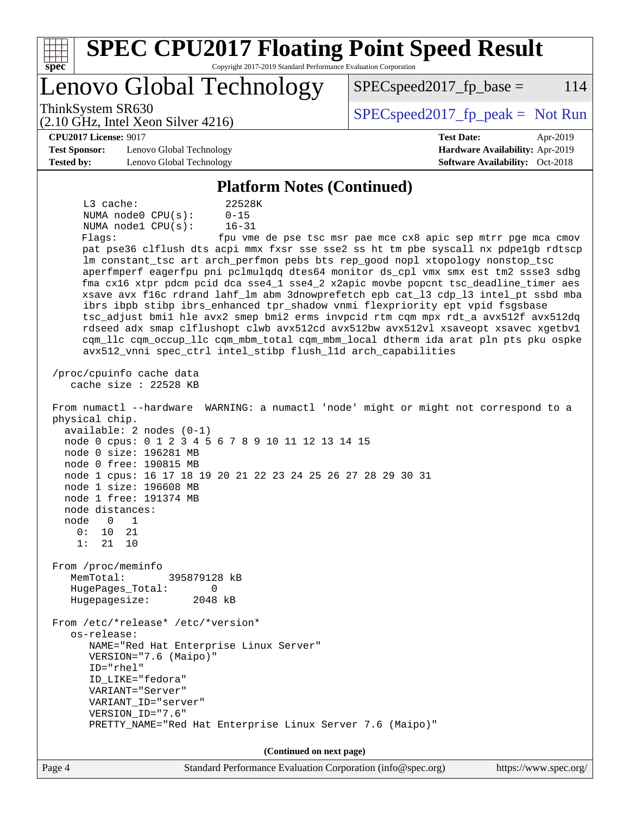| <b>SPEC CPU2017 Floating Point Speed Result</b><br>Copyright 2017-2019 Standard Performance Evaluation Corporation<br>$spec^*$                                                                                                                                                                                                                                                                                                                                                                                                                                                                                                                                                                                                                                                                                                                                                                                                                                                                                                                                                                                                                                                                                                                                                                                                                                                                                                                                                                                                                                                                                                                                                                                                                                                           |                                                               |  |  |  |  |  |  |
|------------------------------------------------------------------------------------------------------------------------------------------------------------------------------------------------------------------------------------------------------------------------------------------------------------------------------------------------------------------------------------------------------------------------------------------------------------------------------------------------------------------------------------------------------------------------------------------------------------------------------------------------------------------------------------------------------------------------------------------------------------------------------------------------------------------------------------------------------------------------------------------------------------------------------------------------------------------------------------------------------------------------------------------------------------------------------------------------------------------------------------------------------------------------------------------------------------------------------------------------------------------------------------------------------------------------------------------------------------------------------------------------------------------------------------------------------------------------------------------------------------------------------------------------------------------------------------------------------------------------------------------------------------------------------------------------------------------------------------------------------------------------------------------|---------------------------------------------------------------|--|--|--|--|--|--|
| Lenovo Global Technology                                                                                                                                                                                                                                                                                                                                                                                                                                                                                                                                                                                                                                                                                                                                                                                                                                                                                                                                                                                                                                                                                                                                                                                                                                                                                                                                                                                                                                                                                                                                                                                                                                                                                                                                                                 | 114<br>$SPEC speed2017fp base =$                              |  |  |  |  |  |  |
| ThinkSystem SR630<br>$(2.10 \text{ GHz}, \text{Intel Xeon Silver } 4216)$                                                                                                                                                                                                                                                                                                                                                                                                                                                                                                                                                                                                                                                                                                                                                                                                                                                                                                                                                                                                                                                                                                                                                                                                                                                                                                                                                                                                                                                                                                                                                                                                                                                                                                                | $SPEC speed2017fr peak = Not Run$                             |  |  |  |  |  |  |
| <b>CPU2017 License: 9017</b>                                                                                                                                                                                                                                                                                                                                                                                                                                                                                                                                                                                                                                                                                                                                                                                                                                                                                                                                                                                                                                                                                                                                                                                                                                                                                                                                                                                                                                                                                                                                                                                                                                                                                                                                                             | <b>Test Date:</b><br>Apr-2019                                 |  |  |  |  |  |  |
| <b>Test Sponsor:</b><br>Lenovo Global Technology                                                                                                                                                                                                                                                                                                                                                                                                                                                                                                                                                                                                                                                                                                                                                                                                                                                                                                                                                                                                                                                                                                                                                                                                                                                                                                                                                                                                                                                                                                                                                                                                                                                                                                                                         | Hardware Availability: Apr-2019                               |  |  |  |  |  |  |
| <b>Tested by:</b><br>Software Availability: Oct-2018<br>Lenovo Global Technology                                                                                                                                                                                                                                                                                                                                                                                                                                                                                                                                                                                                                                                                                                                                                                                                                                                                                                                                                                                                                                                                                                                                                                                                                                                                                                                                                                                                                                                                                                                                                                                                                                                                                                         |                                                               |  |  |  |  |  |  |
| <b>Platform Notes (Continued)</b>                                                                                                                                                                                                                                                                                                                                                                                                                                                                                                                                                                                                                                                                                                                                                                                                                                                                                                                                                                                                                                                                                                                                                                                                                                                                                                                                                                                                                                                                                                                                                                                                                                                                                                                                                        |                                                               |  |  |  |  |  |  |
| $L3$ cache:<br>22528K<br>NUMA node0 CPU(s):<br>$0 - 15$<br>NUMA nodel CPU(s):<br>$16 - 31$<br>Flagg:<br>pat pse36 clflush dts acpi mmx fxsr sse sse2 ss ht tm pbe syscall nx pdpelgb rdtscp<br>lm constant_tsc art arch_perfmon pebs bts rep_good nopl xtopology nonstop_tsc<br>aperfmperf eagerfpu pni pclmulqdq dtes64 monitor ds_cpl vmx smx est tm2 ssse3 sdbg<br>fma cx16 xtpr pdcm pcid dca sse4_1 sse4_2 x2apic movbe popcnt tsc_deadline_timer aes<br>xsave avx f16c rdrand lahf_lm abm 3dnowprefetch epb cat_13 cdp_13 intel_pt ssbd mba<br>ibrs ibpb stibp ibrs_enhanced tpr_shadow vnmi flexpriority ept vpid fsgsbase<br>tsc_adjust bmil hle avx2 smep bmi2 erms invpcid rtm cqm mpx rdt_a avx512f avx512dq<br>rdseed adx smap clflushopt clwb avx512cd avx512bw avx512vl xsaveopt xsavec xgetbvl<br>cqm_llc cqm_occup_llc cqm_mbm_total cqm_mbm_local dtherm ida arat pln pts pku ospke<br>avx512_vnni spec_ctrl intel_stibp flush_lld arch_capabilities<br>/proc/cpuinfo cache data<br>cache size : 22528 KB<br>From numactl --hardware WARNING: a numactl 'node' might or might not correspond to a<br>physical chip.<br>$available: 2 nodes (0-1)$<br>node 0 cpus: 0 1 2 3 4 5 6 7 8 9 10 11 12 13 14 15<br>node 0 size: 196281 MB<br>node 0 free: 190815 MB<br>node 1 cpus: 16 17 18 19 20 21 22 23 24 25 26 27 28 29 30 31<br>node 1 size: 196608 MB<br>node 1 free: 191374 MB<br>node distances:<br>node<br>0<br>1<br>0 :<br>10<br>21<br>1:<br>21<br>10<br>From /proc/meminfo<br>MemTotal:<br>395879128 kB<br>HugePages_Total:<br>0<br>Hugepagesize:<br>2048 kB<br>From /etc/*release* /etc/*version*<br>os-release:<br>NAME="Red Hat Enterprise Linux Server"<br>VERSION="7.6 (Maipo)"<br>$ID="rhe1"$<br>ID LIKE="fedora"<br>VARIANT="Server"<br>VARIANT ID="server" | fpu vme de pse tsc msr pae mce cx8 apic sep mtrr pge mca cmov |  |  |  |  |  |  |
| VERSION_ID="7.6"<br>PRETTY_NAME="Red Hat Enterprise Linux Server 7.6 (Maipo)"                                                                                                                                                                                                                                                                                                                                                                                                                                                                                                                                                                                                                                                                                                                                                                                                                                                                                                                                                                                                                                                                                                                                                                                                                                                                                                                                                                                                                                                                                                                                                                                                                                                                                                            |                                                               |  |  |  |  |  |  |
| (Continued on next page)                                                                                                                                                                                                                                                                                                                                                                                                                                                                                                                                                                                                                                                                                                                                                                                                                                                                                                                                                                                                                                                                                                                                                                                                                                                                                                                                                                                                                                                                                                                                                                                                                                                                                                                                                                 |                                                               |  |  |  |  |  |  |
| $Standard$ Deprograms Evaluation Corporation (info@spec.org)<br>$D_{\alpha\alpha\alpha}$ $\Lambda$                                                                                                                                                                                                                                                                                                                                                                                                                                                                                                                                                                                                                                                                                                                                                                                                                                                                                                                                                                                                                                                                                                                                                                                                                                                                                                                                                                                                                                                                                                                                                                                                                                                                                       | http://www.                                                   |  |  |  |  |  |  |

Page 4 Standard Performance Evaluation Corporation [\(info@spec.org\)](mailto:info@spec.org) <https://www.spec.org/>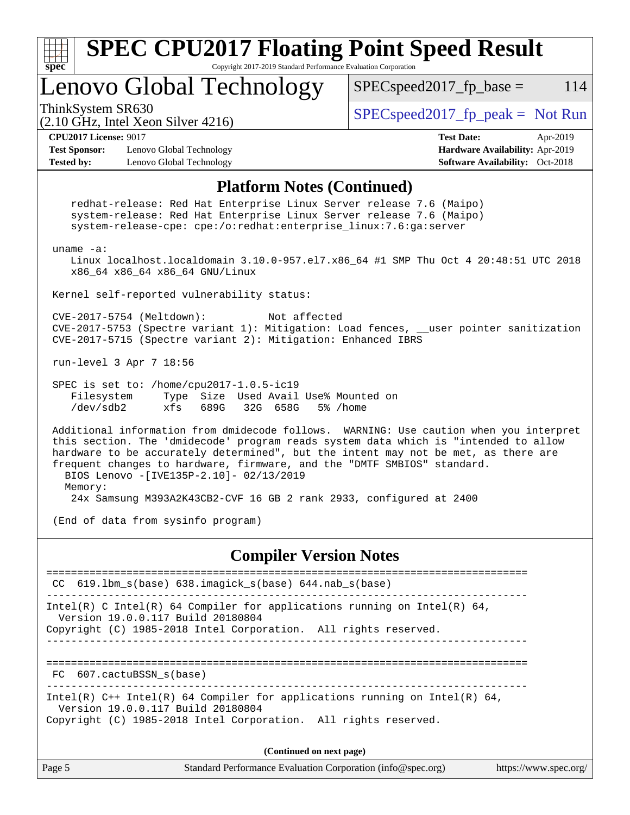

**(Continued on next page)**

| Page 5<br>Standard Performance Evaluation Corporation (info@spec.org) | https://www.spec.org/ |
|-----------------------------------------------------------------------|-----------------------|
|-----------------------------------------------------------------------|-----------------------|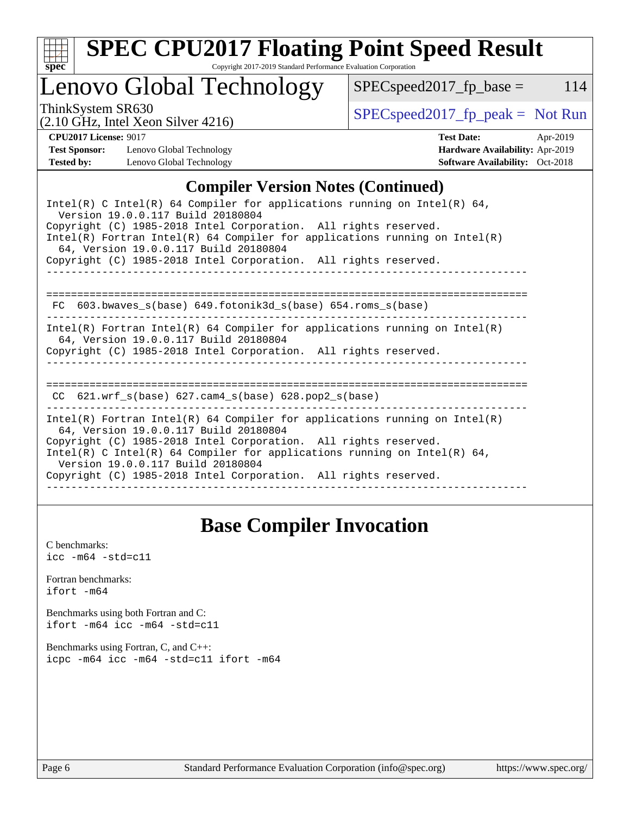

# **[SPEC CPU2017 Floating Point Speed Result](http://www.spec.org/auto/cpu2017/Docs/result-fields.html#SPECCPU2017FloatingPointSpeedResult)**

Copyright 2017-2019 Standard Performance Evaluation Corporation

# Lenovo Global Technology

ThinkSystem SR630<br>  $(2.10 \text{ GHz}_{\text{1.1}})$  [SPECspeed2017\\_fp\\_peak =](http://www.spec.org/auto/cpu2017/Docs/result-fields.html#SPECspeed2017fppeak) Not Run

 $SPEC speed2017_fp\_base = 114$ 

(2.10 GHz, Intel Xeon Silver 4216)

**[CPU2017 License:](http://www.spec.org/auto/cpu2017/Docs/result-fields.html#CPU2017License)** 9017 **[Test Date:](http://www.spec.org/auto/cpu2017/Docs/result-fields.html#TestDate)** Apr-2019 **[Test Sponsor:](http://www.spec.org/auto/cpu2017/Docs/result-fields.html#TestSponsor)** Lenovo Global Technology **[Hardware Availability:](http://www.spec.org/auto/cpu2017/Docs/result-fields.html#HardwareAvailability)** Apr-2019 **[Tested by:](http://www.spec.org/auto/cpu2017/Docs/result-fields.html#Testedby)** Lenovo Global Technology **[Software Availability:](http://www.spec.org/auto/cpu2017/Docs/result-fields.html#SoftwareAvailability)** Oct-2018

### **[Compiler Version Notes \(Continued\)](http://www.spec.org/auto/cpu2017/Docs/result-fields.html#CompilerVersionNotes)**

## **[Base Compiler Invocation](http://www.spec.org/auto/cpu2017/Docs/result-fields.html#BaseCompilerInvocation)**

[C benchmarks](http://www.spec.org/auto/cpu2017/Docs/result-fields.html#Cbenchmarks):  $\text{icc}$  -m64 -std=c11 [Fortran benchmarks](http://www.spec.org/auto/cpu2017/Docs/result-fields.html#Fortranbenchmarks): [ifort -m64](http://www.spec.org/cpu2017/results/res2019q2/cpu2017-20190415-12014.flags.html#user_FCbase_intel_ifort_64bit_24f2bb282fbaeffd6157abe4f878425411749daecae9a33200eee2bee2fe76f3b89351d69a8130dd5949958ce389cf37ff59a95e7a40d588e8d3a57e0c3fd751) [Benchmarks using both Fortran and C](http://www.spec.org/auto/cpu2017/Docs/result-fields.html#BenchmarksusingbothFortranandC): [ifort -m64](http://www.spec.org/cpu2017/results/res2019q2/cpu2017-20190415-12014.flags.html#user_CC_FCbase_intel_ifort_64bit_24f2bb282fbaeffd6157abe4f878425411749daecae9a33200eee2bee2fe76f3b89351d69a8130dd5949958ce389cf37ff59a95e7a40d588e8d3a57e0c3fd751) [icc -m64 -std=c11](http://www.spec.org/cpu2017/results/res2019q2/cpu2017-20190415-12014.flags.html#user_CC_FCbase_intel_icc_64bit_c11_33ee0cdaae7deeeab2a9725423ba97205ce30f63b9926c2519791662299b76a0318f32ddfffdc46587804de3178b4f9328c46fa7c2b0cd779d7a61945c91cd35) [Benchmarks using Fortran, C, and C++:](http://www.spec.org/auto/cpu2017/Docs/result-fields.html#BenchmarksusingFortranCandCXX) [icpc -m64](http://www.spec.org/cpu2017/results/res2019q2/cpu2017-20190415-12014.flags.html#user_CC_CXX_FCbase_intel_icpc_64bit_4ecb2543ae3f1412ef961e0650ca070fec7b7afdcd6ed48761b84423119d1bf6bdf5cad15b44d48e7256388bc77273b966e5eb805aefd121eb22e9299b2ec9d9) [icc -m64 -std=c11](http://www.spec.org/cpu2017/results/res2019q2/cpu2017-20190415-12014.flags.html#user_CC_CXX_FCbase_intel_icc_64bit_c11_33ee0cdaae7deeeab2a9725423ba97205ce30f63b9926c2519791662299b76a0318f32ddfffdc46587804de3178b4f9328c46fa7c2b0cd779d7a61945c91cd35) [ifort -m64](http://www.spec.org/cpu2017/results/res2019q2/cpu2017-20190415-12014.flags.html#user_CC_CXX_FCbase_intel_ifort_64bit_24f2bb282fbaeffd6157abe4f878425411749daecae9a33200eee2bee2fe76f3b89351d69a8130dd5949958ce389cf37ff59a95e7a40d588e8d3a57e0c3fd751)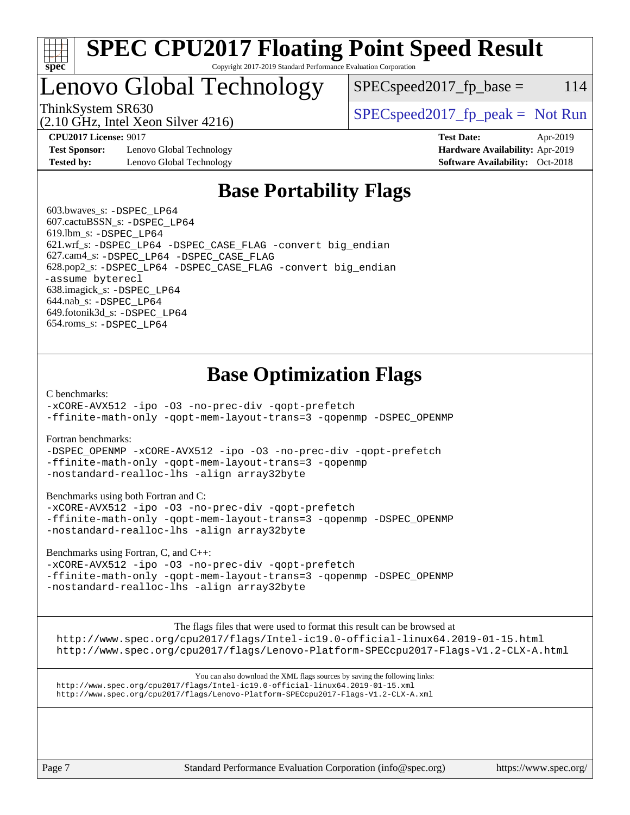

### **[SPEC CPU2017 Floating Point Speed Result](http://www.spec.org/auto/cpu2017/Docs/result-fields.html#SPECCPU2017FloatingPointSpeedResult)** Copyright 2017-2019 Standard Performance Evaluation Corporation

# Lenovo Global Technology

 $SPEC speed2017_fp\_base = 114$ 

(2.10 GHz, Intel Xeon Silver 4216)

ThinkSystem SR630  $SPEC speed2017$  [p\_peak = Not Run

**[Test Sponsor:](http://www.spec.org/auto/cpu2017/Docs/result-fields.html#TestSponsor)** Lenovo Global Technology **[Hardware Availability:](http://www.spec.org/auto/cpu2017/Docs/result-fields.html#HardwareAvailability)** Apr-2019 **[Tested by:](http://www.spec.org/auto/cpu2017/Docs/result-fields.html#Testedby)** Lenovo Global Technology **[Software Availability:](http://www.spec.org/auto/cpu2017/Docs/result-fields.html#SoftwareAvailability)** Oct-2018

**[CPU2017 License:](http://www.spec.org/auto/cpu2017/Docs/result-fields.html#CPU2017License)** 9017 **[Test Date:](http://www.spec.org/auto/cpu2017/Docs/result-fields.html#TestDate)** Apr-2019

## **[Base Portability Flags](http://www.spec.org/auto/cpu2017/Docs/result-fields.html#BasePortabilityFlags)**

 603.bwaves\_s: [-DSPEC\\_LP64](http://www.spec.org/cpu2017/results/res2019q2/cpu2017-20190415-12014.flags.html#suite_basePORTABILITY603_bwaves_s_DSPEC_LP64) 607.cactuBSSN\_s: [-DSPEC\\_LP64](http://www.spec.org/cpu2017/results/res2019q2/cpu2017-20190415-12014.flags.html#suite_basePORTABILITY607_cactuBSSN_s_DSPEC_LP64) 619.lbm\_s: [-DSPEC\\_LP64](http://www.spec.org/cpu2017/results/res2019q2/cpu2017-20190415-12014.flags.html#suite_basePORTABILITY619_lbm_s_DSPEC_LP64) 621.wrf\_s: [-DSPEC\\_LP64](http://www.spec.org/cpu2017/results/res2019q2/cpu2017-20190415-12014.flags.html#suite_basePORTABILITY621_wrf_s_DSPEC_LP64) [-DSPEC\\_CASE\\_FLAG](http://www.spec.org/cpu2017/results/res2019q2/cpu2017-20190415-12014.flags.html#b621.wrf_s_baseCPORTABILITY_DSPEC_CASE_FLAG) [-convert big\\_endian](http://www.spec.org/cpu2017/results/res2019q2/cpu2017-20190415-12014.flags.html#user_baseFPORTABILITY621_wrf_s_convert_big_endian_c3194028bc08c63ac5d04de18c48ce6d347e4e562e8892b8bdbdc0214820426deb8554edfa529a3fb25a586e65a3d812c835984020483e7e73212c4d31a38223) 627.cam4\_s: [-DSPEC\\_LP64](http://www.spec.org/cpu2017/results/res2019q2/cpu2017-20190415-12014.flags.html#suite_basePORTABILITY627_cam4_s_DSPEC_LP64) [-DSPEC\\_CASE\\_FLAG](http://www.spec.org/cpu2017/results/res2019q2/cpu2017-20190415-12014.flags.html#b627.cam4_s_baseCPORTABILITY_DSPEC_CASE_FLAG) 628.pop2\_s: [-DSPEC\\_LP64](http://www.spec.org/cpu2017/results/res2019q2/cpu2017-20190415-12014.flags.html#suite_basePORTABILITY628_pop2_s_DSPEC_LP64) [-DSPEC\\_CASE\\_FLAG](http://www.spec.org/cpu2017/results/res2019q2/cpu2017-20190415-12014.flags.html#b628.pop2_s_baseCPORTABILITY_DSPEC_CASE_FLAG) [-convert big\\_endian](http://www.spec.org/cpu2017/results/res2019q2/cpu2017-20190415-12014.flags.html#user_baseFPORTABILITY628_pop2_s_convert_big_endian_c3194028bc08c63ac5d04de18c48ce6d347e4e562e8892b8bdbdc0214820426deb8554edfa529a3fb25a586e65a3d812c835984020483e7e73212c4d31a38223) [-assume byterecl](http://www.spec.org/cpu2017/results/res2019q2/cpu2017-20190415-12014.flags.html#user_baseFPORTABILITY628_pop2_s_assume_byterecl_7e47d18b9513cf18525430bbf0f2177aa9bf368bc7a059c09b2c06a34b53bd3447c950d3f8d6c70e3faf3a05c8557d66a5798b567902e8849adc142926523472) 638.imagick\_s: [-DSPEC\\_LP64](http://www.spec.org/cpu2017/results/res2019q2/cpu2017-20190415-12014.flags.html#suite_basePORTABILITY638_imagick_s_DSPEC_LP64) 644.nab\_s: [-DSPEC\\_LP64](http://www.spec.org/cpu2017/results/res2019q2/cpu2017-20190415-12014.flags.html#suite_basePORTABILITY644_nab_s_DSPEC_LP64) 649.fotonik3d\_s: [-DSPEC\\_LP64](http://www.spec.org/cpu2017/results/res2019q2/cpu2017-20190415-12014.flags.html#suite_basePORTABILITY649_fotonik3d_s_DSPEC_LP64) 654.roms\_s: [-DSPEC\\_LP64](http://www.spec.org/cpu2017/results/res2019q2/cpu2017-20190415-12014.flags.html#suite_basePORTABILITY654_roms_s_DSPEC_LP64)

# **[Base Optimization Flags](http://www.spec.org/auto/cpu2017/Docs/result-fields.html#BaseOptimizationFlags)**

[C benchmarks](http://www.spec.org/auto/cpu2017/Docs/result-fields.html#Cbenchmarks):

[-xCORE-AVX512](http://www.spec.org/cpu2017/results/res2019q2/cpu2017-20190415-12014.flags.html#user_CCbase_f-xCORE-AVX512) [-ipo](http://www.spec.org/cpu2017/results/res2019q2/cpu2017-20190415-12014.flags.html#user_CCbase_f-ipo) [-O3](http://www.spec.org/cpu2017/results/res2019q2/cpu2017-20190415-12014.flags.html#user_CCbase_f-O3) [-no-prec-div](http://www.spec.org/cpu2017/results/res2019q2/cpu2017-20190415-12014.flags.html#user_CCbase_f-no-prec-div) [-qopt-prefetch](http://www.spec.org/cpu2017/results/res2019q2/cpu2017-20190415-12014.flags.html#user_CCbase_f-qopt-prefetch) [-ffinite-math-only](http://www.spec.org/cpu2017/results/res2019q2/cpu2017-20190415-12014.flags.html#user_CCbase_f_finite_math_only_cb91587bd2077682c4b38af759c288ed7c732db004271a9512da14a4f8007909a5f1427ecbf1a0fb78ff2a814402c6114ac565ca162485bbcae155b5e4258871) [-qopt-mem-layout-trans=3](http://www.spec.org/cpu2017/results/res2019q2/cpu2017-20190415-12014.flags.html#user_CCbase_f-qopt-mem-layout-trans_de80db37974c74b1f0e20d883f0b675c88c3b01e9d123adea9b28688d64333345fb62bc4a798493513fdb68f60282f9a726aa07f478b2f7113531aecce732043) [-qopenmp](http://www.spec.org/cpu2017/results/res2019q2/cpu2017-20190415-12014.flags.html#user_CCbase_qopenmp_16be0c44f24f464004c6784a7acb94aca937f053568ce72f94b139a11c7c168634a55f6653758ddd83bcf7b8463e8028bb0b48b77bcddc6b78d5d95bb1df2967) [-DSPEC\\_OPENMP](http://www.spec.org/cpu2017/results/res2019q2/cpu2017-20190415-12014.flags.html#suite_CCbase_DSPEC_OPENMP)

[Fortran benchmarks](http://www.spec.org/auto/cpu2017/Docs/result-fields.html#Fortranbenchmarks):

[-DSPEC\\_OPENMP](http://www.spec.org/cpu2017/results/res2019q2/cpu2017-20190415-12014.flags.html#suite_FCbase_DSPEC_OPENMP) [-xCORE-AVX512](http://www.spec.org/cpu2017/results/res2019q2/cpu2017-20190415-12014.flags.html#user_FCbase_f-xCORE-AVX512) [-ipo](http://www.spec.org/cpu2017/results/res2019q2/cpu2017-20190415-12014.flags.html#user_FCbase_f-ipo) [-O3](http://www.spec.org/cpu2017/results/res2019q2/cpu2017-20190415-12014.flags.html#user_FCbase_f-O3) [-no-prec-div](http://www.spec.org/cpu2017/results/res2019q2/cpu2017-20190415-12014.flags.html#user_FCbase_f-no-prec-div) [-qopt-prefetch](http://www.spec.org/cpu2017/results/res2019q2/cpu2017-20190415-12014.flags.html#user_FCbase_f-qopt-prefetch) [-ffinite-math-only](http://www.spec.org/cpu2017/results/res2019q2/cpu2017-20190415-12014.flags.html#user_FCbase_f_finite_math_only_cb91587bd2077682c4b38af759c288ed7c732db004271a9512da14a4f8007909a5f1427ecbf1a0fb78ff2a814402c6114ac565ca162485bbcae155b5e4258871) [-qopt-mem-layout-trans=3](http://www.spec.org/cpu2017/results/res2019q2/cpu2017-20190415-12014.flags.html#user_FCbase_f-qopt-mem-layout-trans_de80db37974c74b1f0e20d883f0b675c88c3b01e9d123adea9b28688d64333345fb62bc4a798493513fdb68f60282f9a726aa07f478b2f7113531aecce732043) [-qopenmp](http://www.spec.org/cpu2017/results/res2019q2/cpu2017-20190415-12014.flags.html#user_FCbase_qopenmp_16be0c44f24f464004c6784a7acb94aca937f053568ce72f94b139a11c7c168634a55f6653758ddd83bcf7b8463e8028bb0b48b77bcddc6b78d5d95bb1df2967) [-nostandard-realloc-lhs](http://www.spec.org/cpu2017/results/res2019q2/cpu2017-20190415-12014.flags.html#user_FCbase_f_2003_std_realloc_82b4557e90729c0f113870c07e44d33d6f5a304b4f63d4c15d2d0f1fab99f5daaed73bdb9275d9ae411527f28b936061aa8b9c8f2d63842963b95c9dd6426b8a) [-align array32byte](http://www.spec.org/cpu2017/results/res2019q2/cpu2017-20190415-12014.flags.html#user_FCbase_align_array32byte_b982fe038af199962ba9a80c053b8342c548c85b40b8e86eb3cc33dee0d7986a4af373ac2d51c3f7cf710a18d62fdce2948f201cd044323541f22fc0fffc51b6)

[Benchmarks using both Fortran and C](http://www.spec.org/auto/cpu2017/Docs/result-fields.html#BenchmarksusingbothFortranandC):

[-xCORE-AVX512](http://www.spec.org/cpu2017/results/res2019q2/cpu2017-20190415-12014.flags.html#user_CC_FCbase_f-xCORE-AVX512) [-ipo](http://www.spec.org/cpu2017/results/res2019q2/cpu2017-20190415-12014.flags.html#user_CC_FCbase_f-ipo) [-O3](http://www.spec.org/cpu2017/results/res2019q2/cpu2017-20190415-12014.flags.html#user_CC_FCbase_f-O3) [-no-prec-div](http://www.spec.org/cpu2017/results/res2019q2/cpu2017-20190415-12014.flags.html#user_CC_FCbase_f-no-prec-div) [-qopt-prefetch](http://www.spec.org/cpu2017/results/res2019q2/cpu2017-20190415-12014.flags.html#user_CC_FCbase_f-qopt-prefetch) [-ffinite-math-only](http://www.spec.org/cpu2017/results/res2019q2/cpu2017-20190415-12014.flags.html#user_CC_FCbase_f_finite_math_only_cb91587bd2077682c4b38af759c288ed7c732db004271a9512da14a4f8007909a5f1427ecbf1a0fb78ff2a814402c6114ac565ca162485bbcae155b5e4258871) [-qopt-mem-layout-trans=3](http://www.spec.org/cpu2017/results/res2019q2/cpu2017-20190415-12014.flags.html#user_CC_FCbase_f-qopt-mem-layout-trans_de80db37974c74b1f0e20d883f0b675c88c3b01e9d123adea9b28688d64333345fb62bc4a798493513fdb68f60282f9a726aa07f478b2f7113531aecce732043) [-qopenmp](http://www.spec.org/cpu2017/results/res2019q2/cpu2017-20190415-12014.flags.html#user_CC_FCbase_qopenmp_16be0c44f24f464004c6784a7acb94aca937f053568ce72f94b139a11c7c168634a55f6653758ddd83bcf7b8463e8028bb0b48b77bcddc6b78d5d95bb1df2967) [-DSPEC\\_OPENMP](http://www.spec.org/cpu2017/results/res2019q2/cpu2017-20190415-12014.flags.html#suite_CC_FCbase_DSPEC_OPENMP) [-nostandard-realloc-lhs](http://www.spec.org/cpu2017/results/res2019q2/cpu2017-20190415-12014.flags.html#user_CC_FCbase_f_2003_std_realloc_82b4557e90729c0f113870c07e44d33d6f5a304b4f63d4c15d2d0f1fab99f5daaed73bdb9275d9ae411527f28b936061aa8b9c8f2d63842963b95c9dd6426b8a) [-align array32byte](http://www.spec.org/cpu2017/results/res2019q2/cpu2017-20190415-12014.flags.html#user_CC_FCbase_align_array32byte_b982fe038af199962ba9a80c053b8342c548c85b40b8e86eb3cc33dee0d7986a4af373ac2d51c3f7cf710a18d62fdce2948f201cd044323541f22fc0fffc51b6)

[Benchmarks using Fortran, C, and C++:](http://www.spec.org/auto/cpu2017/Docs/result-fields.html#BenchmarksusingFortranCandCXX)

[-xCORE-AVX512](http://www.spec.org/cpu2017/results/res2019q2/cpu2017-20190415-12014.flags.html#user_CC_CXX_FCbase_f-xCORE-AVX512) [-ipo](http://www.spec.org/cpu2017/results/res2019q2/cpu2017-20190415-12014.flags.html#user_CC_CXX_FCbase_f-ipo) [-O3](http://www.spec.org/cpu2017/results/res2019q2/cpu2017-20190415-12014.flags.html#user_CC_CXX_FCbase_f-O3) [-no-prec-div](http://www.spec.org/cpu2017/results/res2019q2/cpu2017-20190415-12014.flags.html#user_CC_CXX_FCbase_f-no-prec-div) [-qopt-prefetch](http://www.spec.org/cpu2017/results/res2019q2/cpu2017-20190415-12014.flags.html#user_CC_CXX_FCbase_f-qopt-prefetch) [-ffinite-math-only](http://www.spec.org/cpu2017/results/res2019q2/cpu2017-20190415-12014.flags.html#user_CC_CXX_FCbase_f_finite_math_only_cb91587bd2077682c4b38af759c288ed7c732db004271a9512da14a4f8007909a5f1427ecbf1a0fb78ff2a814402c6114ac565ca162485bbcae155b5e4258871) [-qopt-mem-layout-trans=3](http://www.spec.org/cpu2017/results/res2019q2/cpu2017-20190415-12014.flags.html#user_CC_CXX_FCbase_f-qopt-mem-layout-trans_de80db37974c74b1f0e20d883f0b675c88c3b01e9d123adea9b28688d64333345fb62bc4a798493513fdb68f60282f9a726aa07f478b2f7113531aecce732043) [-qopenmp](http://www.spec.org/cpu2017/results/res2019q2/cpu2017-20190415-12014.flags.html#user_CC_CXX_FCbase_qopenmp_16be0c44f24f464004c6784a7acb94aca937f053568ce72f94b139a11c7c168634a55f6653758ddd83bcf7b8463e8028bb0b48b77bcddc6b78d5d95bb1df2967) [-DSPEC\\_OPENMP](http://www.spec.org/cpu2017/results/res2019q2/cpu2017-20190415-12014.flags.html#suite_CC_CXX_FCbase_DSPEC_OPENMP) [-nostandard-realloc-lhs](http://www.spec.org/cpu2017/results/res2019q2/cpu2017-20190415-12014.flags.html#user_CC_CXX_FCbase_f_2003_std_realloc_82b4557e90729c0f113870c07e44d33d6f5a304b4f63d4c15d2d0f1fab99f5daaed73bdb9275d9ae411527f28b936061aa8b9c8f2d63842963b95c9dd6426b8a) [-align array32byte](http://www.spec.org/cpu2017/results/res2019q2/cpu2017-20190415-12014.flags.html#user_CC_CXX_FCbase_align_array32byte_b982fe038af199962ba9a80c053b8342c548c85b40b8e86eb3cc33dee0d7986a4af373ac2d51c3f7cf710a18d62fdce2948f201cd044323541f22fc0fffc51b6)

The flags files that were used to format this result can be browsed at

<http://www.spec.org/cpu2017/flags/Intel-ic19.0-official-linux64.2019-01-15.html> <http://www.spec.org/cpu2017/flags/Lenovo-Platform-SPECcpu2017-Flags-V1.2-CLX-A.html>

You can also download the XML flags sources by saving the following links: <http://www.spec.org/cpu2017/flags/Intel-ic19.0-official-linux64.2019-01-15.xml> <http://www.spec.org/cpu2017/flags/Lenovo-Platform-SPECcpu2017-Flags-V1.2-CLX-A.xml>